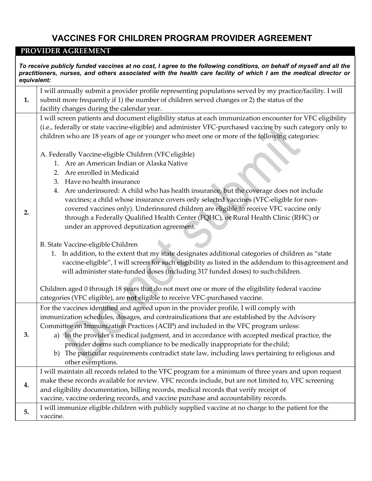## **VACCINES FOR CHILDREN PROGRAM PROVIDER AGREEMENT**

## **PROVIDER AGREEMENT**

*To receive publicly funded vaccines at no cost, I agree to the following conditions, on behalf of myself and all the practitioners, nurses, and others associated with the health care facility of which I am the medical director or equivalent:* **1.** I will annually submit a provider profile representing populations served by my practice/facility. I will submit more frequently if 1) the number of children served changes or 2) the status of the facility changes during the calendar year. **2.** I will screen patients and document eligibility status at each immunization encounter for VFC eligibility (i.e., federally or state vaccine-eligible) and administer VFC-purchased vaccine by such category only to children who are 18 years of age or younger who meet one or more of the following categories: A. Federally Vaccine-eligible Children (VFC eligible) 1. Are an American Indian or Alaska Native 2. Are enrolled in Medicaid 3. Have no health insurance 4. Are underinsured: A child who has health insurance, but the coverage does not include vaccines; a child whose insurance covers only selected vaccines (VFC-eligible for noncovered vaccines only). Underinsured children are eligible to receive VFC vaccine only through a Federally Qualified Health Center (FQHC), or Rural Health Clinic (RHC) or under an approved deputization agreement. B. State Vaccine-eligible Children 1. In addition, to the extent that my state designates additional categories of children as "state vaccine-eligible", I will screen for such eligibility as listed in the addendum to thisagreement and will administer state-funded doses (including 317 funded doses) to such children. Children aged 0 through 18 years that do not meet one or more of the eligibility federal vaccine categories (VFC eligible), are **not** eligible to receive VFC-purchased vaccine. **3.** For the vaccines identified and agreed upon in the provider profile, I will comply with immunization schedules, dosages, and contraindications that are established by the Advisory Committee on Immunization Practices (ACIP) and included in the VFC program unless: a) In the provider's medical judgment, and in accordance with accepted medical practice, the provider deems such compliance to be medically inappropriate for thechild; b) The particular requirements contradict state law, including laws pertaining to religious and other exemptions. **4.** I will maintain all records related to the VFC program for a minimum of three years and upon request make these records available for review. VFC records include, but are not limited to, VFC screening and eligibility documentation, billing records, medical records that verify receipt of vaccine, vaccine ordering records, and vaccine purchase and accountability records. **5.** I will immunize eligible children with publicly supplied vaccine at no charge to the patient for the vaccine.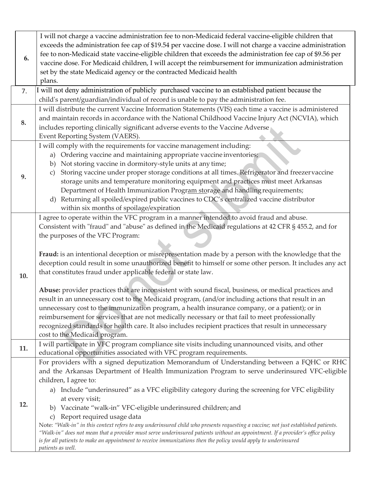| 6.  | I will not charge a vaccine administration fee to non-Medicaid federal vaccine-eligible children that<br>exceeds the administration fee cap of \$19.54 per vaccine dose. I will not charge a vaccine administration<br>fee to non-Medicaid state vaccine-eligible children that exceeds the administration fee cap of \$9.56 per<br>vaccine dose. For Medicaid children, I will accept the reimbursement for immunization administration<br>set by the state Medicaid agency or the contracted Medicaid health<br>plans.                                                                                                                                                                                                                                                                                                                                                                                                                                                                                                                                                                 |
|-----|------------------------------------------------------------------------------------------------------------------------------------------------------------------------------------------------------------------------------------------------------------------------------------------------------------------------------------------------------------------------------------------------------------------------------------------------------------------------------------------------------------------------------------------------------------------------------------------------------------------------------------------------------------------------------------------------------------------------------------------------------------------------------------------------------------------------------------------------------------------------------------------------------------------------------------------------------------------------------------------------------------------------------------------------------------------------------------------|
| 7.  | I will not deny administration of publicly purchased vaccine to an established patient because the                                                                                                                                                                                                                                                                                                                                                                                                                                                                                                                                                                                                                                                                                                                                                                                                                                                                                                                                                                                       |
|     | child's parent/guardian/individual of record is unable to pay the administration fee.                                                                                                                                                                                                                                                                                                                                                                                                                                                                                                                                                                                                                                                                                                                                                                                                                                                                                                                                                                                                    |
| 8.  | I will distribute the current Vaccine Information Statements (VIS) each time a vaccine is administered<br>and maintain records in accordance with the National Childhood Vaccine Injury Act (NCVIA), which<br>includes reporting clinically significant adverse events to the Vaccine Adverse<br>Event Reporting System (VAERS).                                                                                                                                                                                                                                                                                                                                                                                                                                                                                                                                                                                                                                                                                                                                                         |
| 9.  | I will comply with the requirements for vaccine management including:<br>a) Ordering vaccine and maintaining appropriate vaccine inventories;<br>Not storing vaccine in dormitory-style units at any time;<br>b)<br>Storing vaccine under proper storage conditions at all times. Refrigerator and freezer vaccine<br>$\mathcal{C}$<br>storage units and temperature monitoring equipment and practices must meet Arkansas<br>Department of Health Immunization Program storage and handling requirements;<br>d) Returning all spoiled/expired public vaccines to CDC's centralized vaccine distributor<br>within six months of spoilage/expiration                                                                                                                                                                                                                                                                                                                                                                                                                                      |
| 10. | I agree to operate within the VFC program in a manner intended to avoid fraud and abuse.<br>Consistent with "fraud" and "abuse" as defined in the Medicaid regulations at 42 CFR § 455.2, and for<br>the purposes of the VFC Program:<br>Fraud: is an intentional deception or misrepresentation made by a person with the knowledge that the<br>deception could result in some unauthorized benefit to himself or some other person. It includes any act<br>that constitutes fraud under applicable federal or state law.<br>Abuse: provider practices that are inconsistent with sound fiscal, business, or medical practices and<br>result in an unnecessary cost to the Medicaid program, (and/or including actions that result in an<br>unnecessary cost to the immunization program, a health insurance company, or a patient); or in<br>reimbursement for services that are not medically necessary or that fail to meet professionally<br>recognized standards for health care. It also includes recipient practices that result in unnecessary<br>cost to the Medicaid program. |
| 11. | I will participate in VFC program compliance site visits including unannounced visits, and other<br>educational opportunities associated with VFC program requirements.                                                                                                                                                                                                                                                                                                                                                                                                                                                                                                                                                                                                                                                                                                                                                                                                                                                                                                                  |
| 12. | For providers with a signed deputization Memorandum of Understanding between a FQHC or RHC<br>and the Arkansas Department of Health Immunization Program to serve underinsured VFC-eligible<br>children, I agree to:<br>a) Include "underinsured" as a VFC eligibility category during the screening for VFC eligibility<br>at every visit;<br>b) Vaccinate "walk-in" VFC-eligible underinsured children; and<br>Report required usage data<br>$\mathcal{C}$ )<br>Note: "Walk-in" in this context refers to any underinsured child who presents requesting a vaccine; not just established patients.<br>"Walk-in" does not mean that a provider must serve underinsured patients without an appointment. If a provider's office policy<br>is for all patients to make an appointment to receive immunizations then the policy would apply to underinsured<br>patients as well.                                                                                                                                                                                                           |